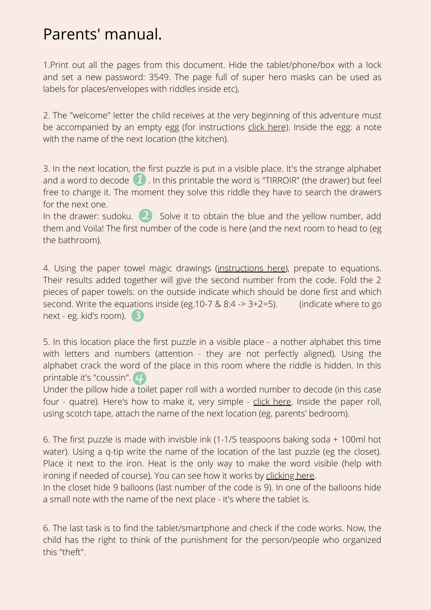## Parents' manual.

1.Print out all the pages from this document. Hide the tablet/phone/box with a lock and set a new password: 3549. The page full of super hero masks can be used as labels for places/envelopes with riddles inside etc),

2. The "welcome" letter the child receives at the very beginning of this adventure must be accompanied by an empty egg (for instructions [click here\).](https://www.youtube.com/watch?v=O6T0Jf2GhT4) Inside the egg: a note with the name of the next location (the kitchen).

3. In the next location, the first puzzle is put in a visible place. It's the strange alphabet and a word to decode  $\Box$ . In this printable the word is "TIRROIR" (the drawer) but feel free to change it. The moment they solve this riddle they have to search the drawers for the next one.

In the drawer: sudoku.  $\mathcal{L}$  Solve it to obtain the blue and the yellow number, add them and Voila! The first number of the code is here (and the next room to head to (eg the bathroom).

4. Using the paper towel magic drawings ([instructions here](https://www.instagram.com/p/B_XSNodH-Tp/)), prepate to equations. Their results added together will give the second number from the code. Fold the 2 pieces of paper towels: on the outside indicate which should be done first and which second. Write the equations inside (eg.10-7 & 8:4 -> 3+2=5). (indicate where to go next - eg. kid's room).

5. In this location place the first puzzle in a visible place - a nother alphabet this time with letters and numbers (attention - they are not perfectly aligned). Using the alphabet crack the word of the place in this room where the riddle is hidden. In this printable it's "coussin". 4

Under the pillow hide a toilet paper roll with a worded number to decode (in this case four - quatre). Here's how to make it, very simple - [click here.](https://www.pinterest.ch/pin/53409945570093904/) Inside the paper roll, using scotch tape, attach the name of the next location (eg. parents' bedroom).

6. The first puzzle is made with invisble ink (1-1/5 teaspoons baking soda + 100ml hot water). Using a q-tip write the name of the location of the last puzzle (eg the closet). Place it next to the iron. Heat is the only way to make the word visible (help with ironing if needed of course). You can see how it works by [clicking here.](https://www.ubs.com/microsites/family/en/topsy/2020/secret-ink.html)

In the closet hide 9 balloons (last number of the code is 9). In one of the balloons hide a small note with the name of the next place - it's where the tablet is.

6. The last task is to find the tablet/smartphone and check if the code works. Now, the child has the right to think of the punishment for the person/people who organized this "theft".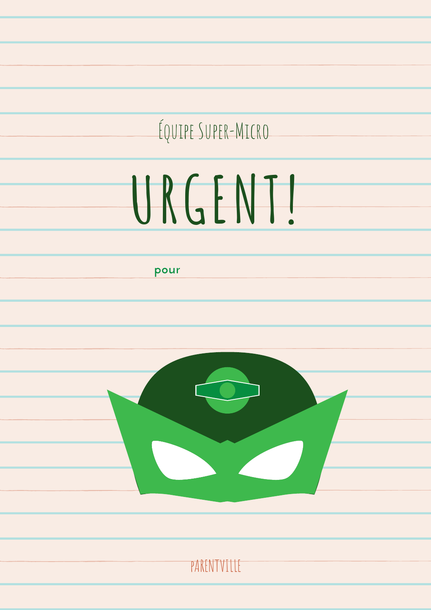

## **URGENT!**

**pour**



pARENTVILLE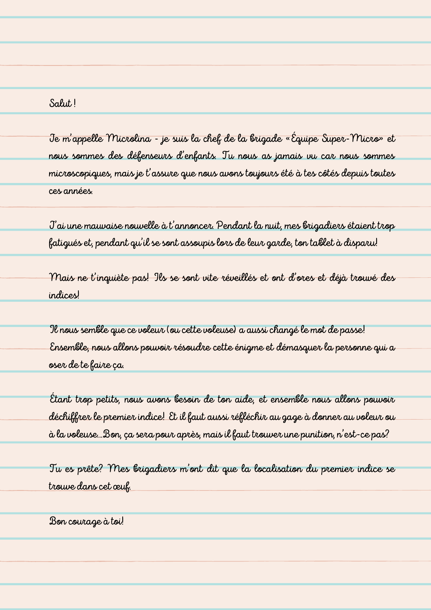## Salut !

Je m'appelle Microlina - je suis la chef de la brigade «Équipe Super-Micro» et nous sommes des défenseurs d'enfants. Tu nous as jamais vu car nous sommes microscopiques, mais je t'assure que nous avons toujours été à tes côtés depuis toutes ces années.

J'ai une mauvaise nouvelle à t'annoncer. Pendant la nuit, mes brigadiers étaient trop fatigués et, pendant qu'il se sont assoupis lors de leur garde, ton tablet à disparu!

Mais ne t'inquiète pas! Ils se sont vite réveillés et ont d'ores et déjà trouvé des indices!

Il nous semble que ce voleur (ou cette voleuse) a aussi changé le mot de passe! Ensemble, nous allons pouvoir résoudre cette énigme et démasquer la personne qui a oser de te faire ça.

Étant trop petits, nous avons besoin de ton aide, et ensemble nous allons pouvoir déchiffrer le premier indice! Et il faut aussi réfléchir au gage à donner au voleur ou à la voleuse...Bon, ça sera pour après, mais il faut trouver une punition, n'est-ce pas?

Tu es prête? Mes brigadiers m'ont dit que la localisation du premier indice se trouve dans cet œuf.

Bon courage à toi!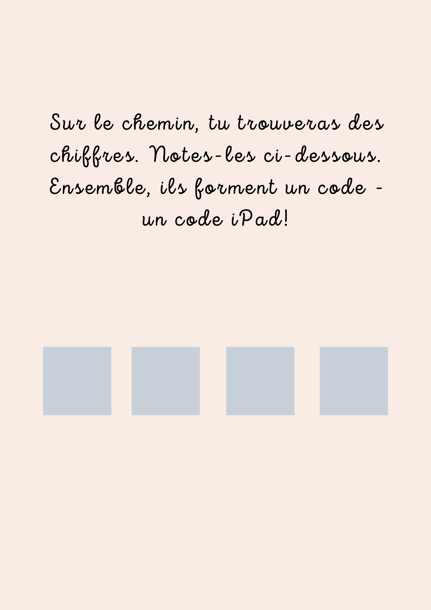Sur le chemin, tu trouveras des chiffres. Notes-les ci-dessous. Ensemble, ils forment un code un code iPad!

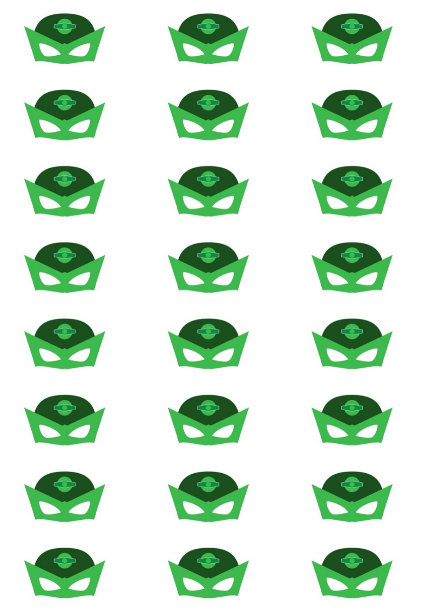













































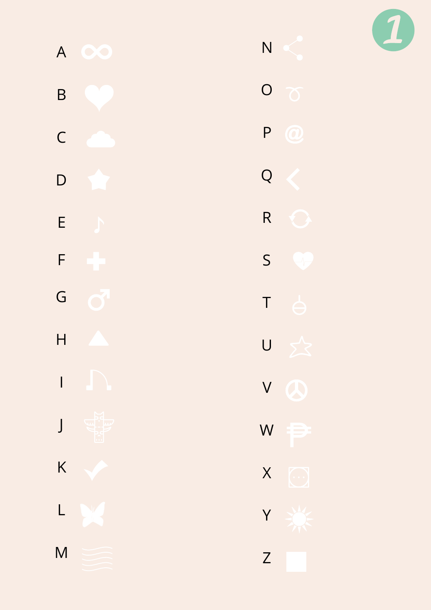| A                       |                                            |
|-------------------------|--------------------------------------------|
| B                       |                                            |
| $\overline{\mathsf{C}}$ |                                            |
| $\overline{D}$          |                                            |
| E                       |                                            |
| F                       |                                            |
| G                       |                                            |
| $\overline{\mathsf{H}}$ |                                            |
|                         |                                            |
| $\bigcup$               | $\overline{\mathcal{E}}$<br>$\overline{y}$ |
|                         |                                            |
| K                       |                                            |
| L                       |                                            |

| N                             |    |
|-------------------------------|----|
| C                             |    |
| P                             |    |
| $\overline{Q}$                |    |
| R                             |    |
| $\mathsf C$<br>Ī              |    |
|                               |    |
| $\overline{\bigcup}$          |    |
|                               |    |
|                               |    |
| $\times$                      | 7  |
| ١<br>$\overline{\mathcal{L}}$ | r. |
| $\overline{Z}$                |    |

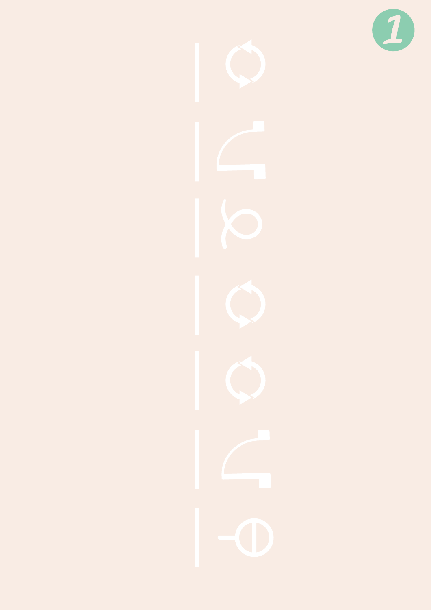

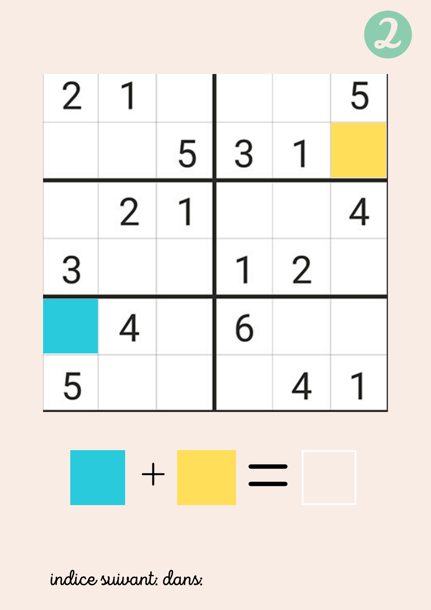

| $\overline{2}$ |                |   |   |                | 5 |
|----------------|----------------|---|---|----------------|---|
|                |                | 5 | 3 |                |   |
|                | $\overline{2}$ |   |   |                | 4 |
| 3              |                |   |   | $\overline{2}$ |   |
|                | 4              |   | 6 |                |   |
| 5              |                |   |   | 4              |   |



indice suivant: dans.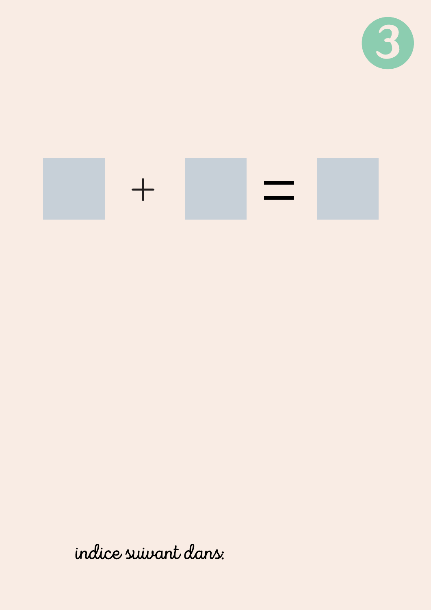



indice suivant dans.